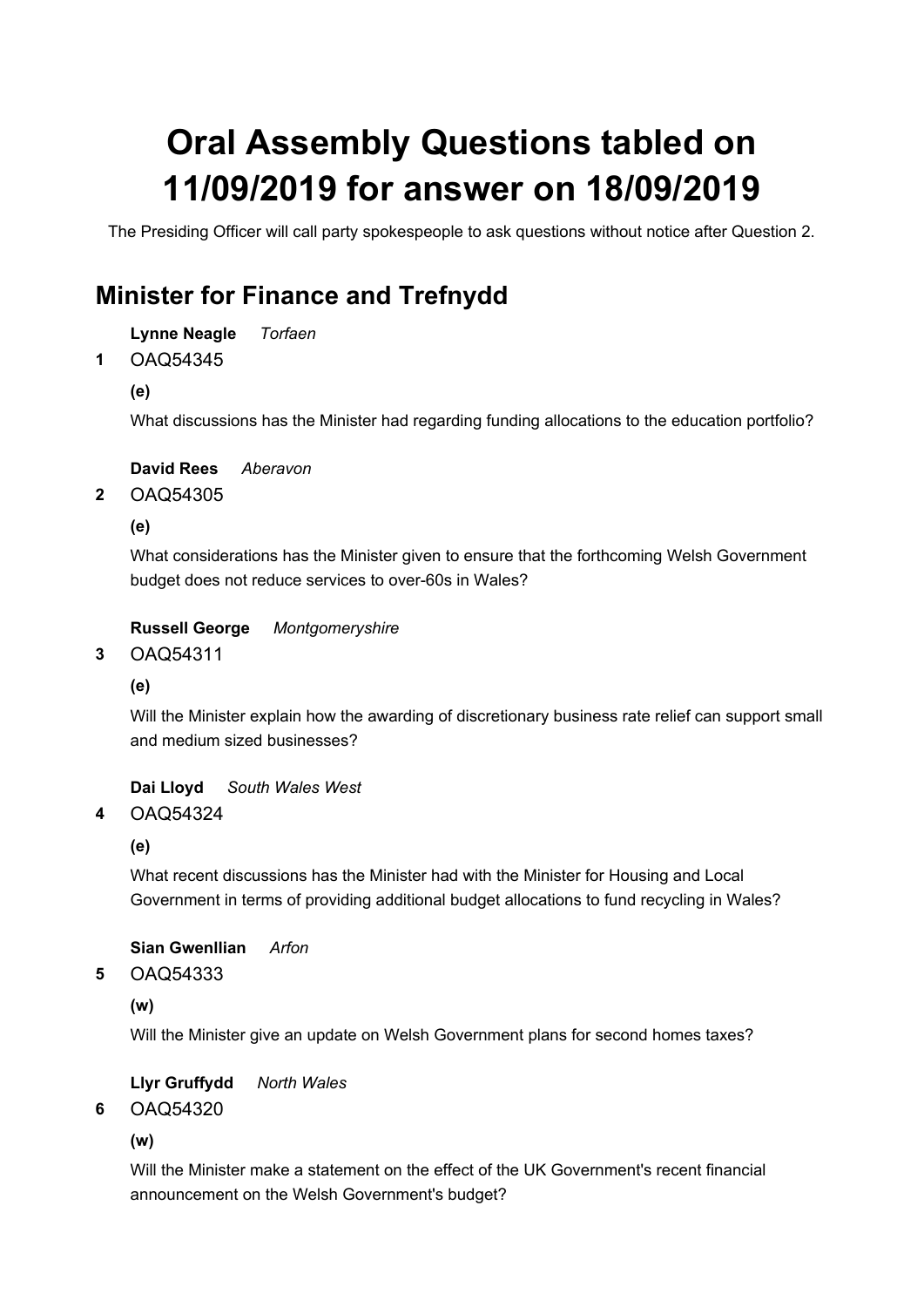# Oral Assembly Questions tabled on 11/09/2019 for answer on 18/09/2019

The Presiding Officer will call party spokespeople to ask questions without notice after Question 2.

## Minister for Finance and Trefnydd

Lynne Neagle Torfaen

OAQ54345 1

(e)

What discussions has the Minister had regarding funding allocations to the education portfolio?

David Rees Aberavon

OAQ54305 2

(e)

What considerations has the Minister given to ensure that the forthcoming Welsh Government budget does not reduce services to over-60s in Wales?

## Russell George Montgomeryshire

OAQ54311 3

(e)

Will the Minister explain how the awarding of discretionary business rate relief can support small and medium sized businesses?

Dai Lloyd South Wales West

#### OAQ54324 4

(e)

What recent discussions has the Minister had with the Minister for Housing and Local Government in terms of providing additional budget allocations to fund recycling in Wales?

Sian Gwenllian Arfon

OAQ54333 5

(w)

Will the Minister give an update on Welsh Government plans for second homes taxes?

Llyr Gruffydd North Wales

#### OAQ54320 6

(w)

Will the Minister make a statement on the effect of the UK Government's recent financial announcement on the Welsh Government's budget?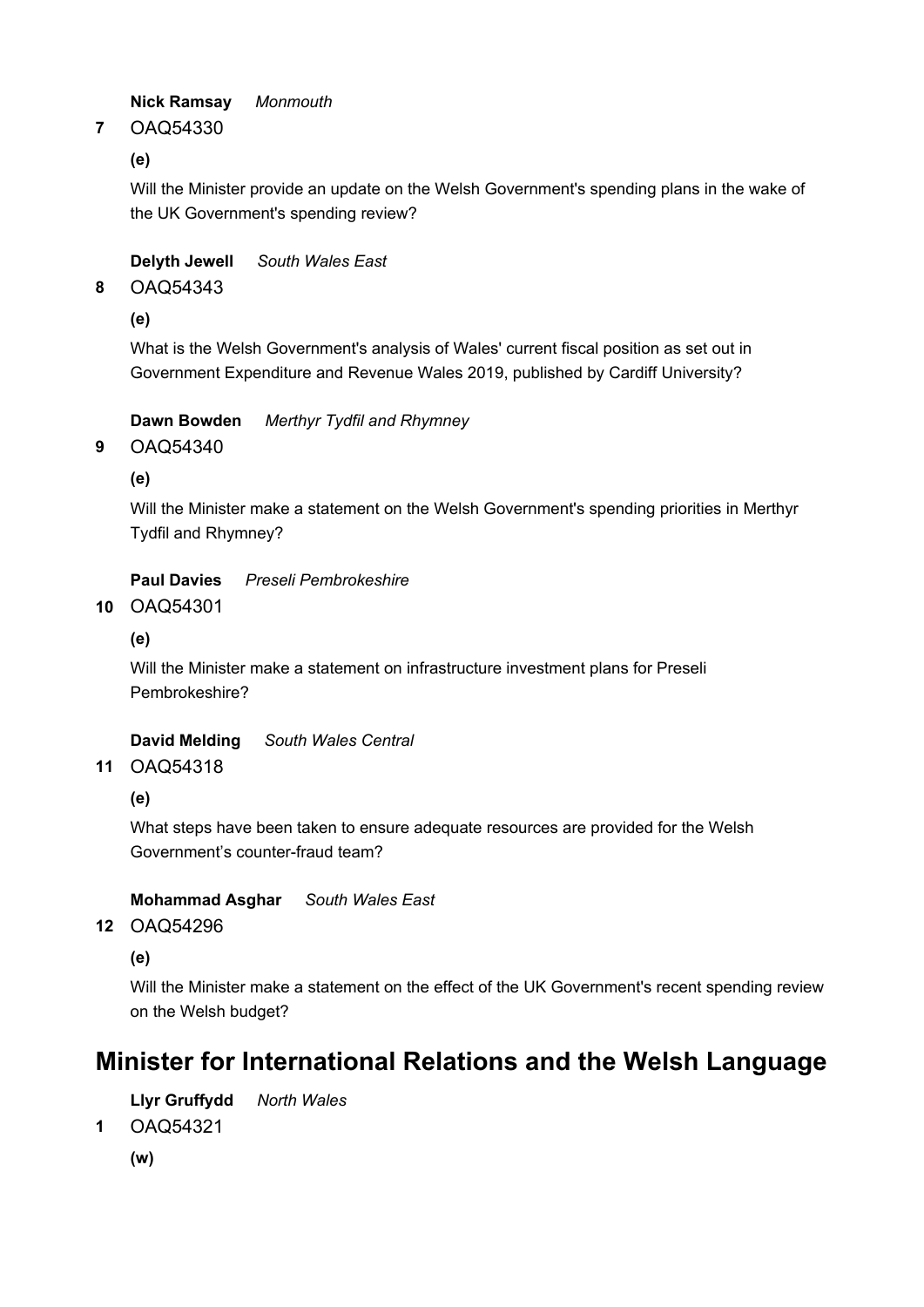Nick Ramsay Monmouth

OAQ54330 7

(e)

Will the Minister provide an update on the Welsh Government's spending plans in the wake of the UK Government's spending review?

Delyth Jewell South Wales East

OAQ54343 8

(e)

What is the Welsh Government's analysis of Wales' current fiscal position as set out in Government Expenditure and Revenue Wales 2019, published by Cardiff University?

Dawn Bowden Merthyr Tydfil and Rhymney

OAQ54340 9

(e)

Will the Minister make a statement on the Welsh Government's spending priorities in Merthyr Tydfil and Rhymney?

Paul Davies Preseli Pembrokeshire

OAQ54301 10

(e)

Will the Minister make a statement on infrastructure investment plans for Preseli Pembrokeshire?

David Melding South Wales Central

OAQ54318 11

(e)

What steps have been taken to ensure adequate resources are provided for the Welsh Government's counter-fraud team?

Mohammad Asghar South Wales East

OAQ54296 12

(e)

Will the Minister make a statement on the effect of the UK Government's recent spending review on the Welsh budget?

## Minister for International Relations and the Welsh Language

Llyr Gruffydd North Wales

OAQ54321 1

(w)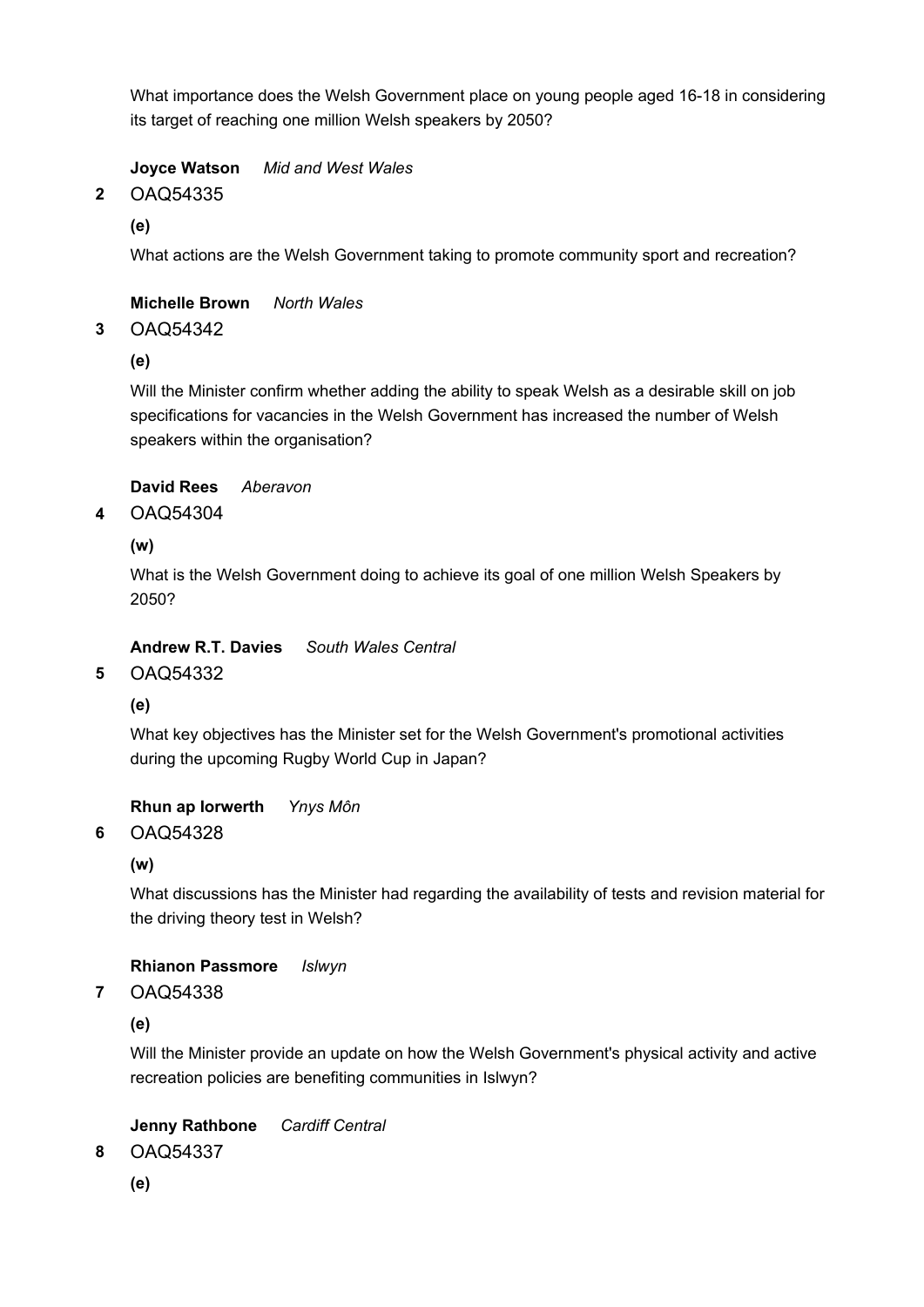What importance does the Welsh Government place on young people aged 16-18 in considering its target of reaching one million Welsh speakers by 2050?

Joyce Watson Mid and West Wales

OAQ54335 2

(e)

What actions are the Welsh Government taking to promote community sport and recreation?

Michelle Brown North Wales

#### OAQ54342 3

(e)

Will the Minister confirm whether adding the ability to speak Welsh as a desirable skill on job specifications for vacancies in the Welsh Government has increased the number of Welsh speakers within the organisation?

## David Rees Aberavon

#### OAQ54304 4

(w)

What is the Welsh Government doing to achieve its goal of one million Welsh Speakers by 2050?

Andrew R.T. Davies South Wales Central

#### OAQ54332 5

(e)

What key objectives has the Minister set for the Welsh Government's promotional activities during the upcoming Rugby World Cup in Japan?

Rhun ap Iorwerth Ynys Môn

#### OAQ54328 6

(w)

What discussions has the Minister had regarding the availability of tests and revision material for the driving theory test in Welsh?

### Rhianon Passmore Islwyn

OAQ54338 7

(e)

Will the Minister provide an update on how the Welsh Government's physical activity and active recreation policies are benefiting communities in Islwyn?

### Jenny Rathbone Cardiff Central

OAQ54337 8

(e)